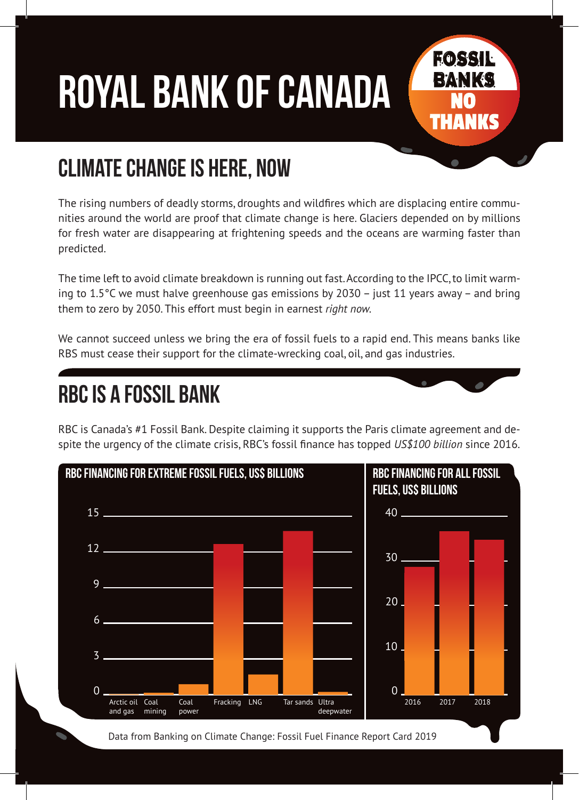# Royal bank of canada



## Climate Change is here, now

The rising numbers of deadly storms, droughts and wildfires which are displacing entire communities around the world are proof that climate change is here. Glaciers depended on by millions for fresh water are disappearing at frightening speeds and the oceans are warming faster than predicted.

The time left to avoid climate breakdown is running out fast. According to the IPCC, to limit warming to  $1.5^{\circ}$ C we must halve greenhouse gas emissions by 2030 – just 11 years away – and bring them to zero by 2050. This effort must begin in earnest *right now.*

We cannot succeed unless we bring the era of fossil fuels to a rapid end. This means banks like RBS must cease their support for the climate-wrecking coal, oil, and gas industries.

## RBC is a Fossil Bank

RBC is Canada's #1 Fossil Bank. Despite claiming it supports the Paris climate agreement and despite the urgency of the climate crisis, RBC's fossil finance has topped *US\$100 billion* since 2016.